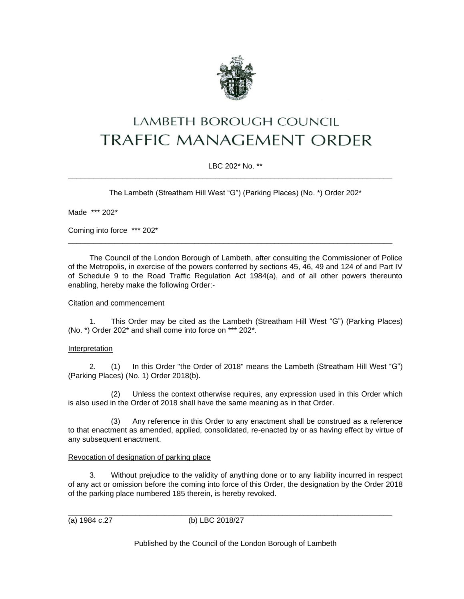

# LAMBETH BOROUGH COUNCIL **TRAFFIC MANAGEMENT ORDER**

# LBC 202\* No. \*\*

\_\_\_\_\_\_\_\_\_\_\_\_\_\_\_\_\_\_\_\_\_\_\_\_\_\_\_\_\_\_\_\_\_\_\_\_\_\_\_\_\_\_\_\_\_\_\_\_\_\_\_\_\_\_\_\_\_\_\_\_\_\_\_\_\_\_\_\_\_\_\_\_\_\_\_\_\_

The Lambeth (Streatham Hill West "G") (Parking Places) (No. \*) Order 202\*

Made \*\*\* 202\*

Coming into force \*\*\* 202\*

The Council of the London Borough of Lambeth, after consulting the Commissioner of Police of the Metropolis, in exercise of the powers conferred by sections 45, 46, 49 and 124 of and Part IV of Schedule 9 to the Road Traffic Regulation Act 1984(a), and of all other powers thereunto enabling, hereby make the following Order:-

\_\_\_\_\_\_\_\_\_\_\_\_\_\_\_\_\_\_\_\_\_\_\_\_\_\_\_\_\_\_\_\_\_\_\_\_\_\_\_\_\_\_\_\_\_\_\_\_\_\_\_\_\_\_\_\_\_\_\_\_\_\_\_\_\_\_\_\_\_\_\_\_\_\_\_\_\_

#### Citation and commencement

1. This Order may be cited as the Lambeth (Streatham Hill West "G") (Parking Places) (No. \*) Order 202\* and shall come into force on \*\*\* 202\*.

## **Interpretation**

2. (1) In this Order "the Order of 2018" means the Lambeth (Streatham Hill West "G") (Parking Places) (No. 1) Order 2018(b).

(2) Unless the context otherwise requires, any expression used in this Order which is also used in the Order of 2018 shall have the same meaning as in that Order.

(3) Any reference in this Order to any enactment shall be construed as a reference to that enactment as amended, applied, consolidated, re-enacted by or as having effect by virtue of any subsequent enactment.

#### Revocation of designation of parking place

3. Without prejudice to the validity of anything done or to any liability incurred in respect of any act or omission before the coming into force of this Order, the designation by the Order 2018 of the parking place numbered 185 therein, is hereby revoked.

\_\_\_\_\_\_\_\_\_\_\_\_\_\_\_\_\_\_\_\_\_\_\_\_\_\_\_\_\_\_\_\_\_\_\_\_\_\_\_\_\_\_\_\_\_\_\_\_\_\_\_\_\_\_\_\_\_\_\_\_\_\_\_\_\_\_\_\_\_\_\_\_\_\_\_\_\_ (a) 1984 c.27 (b) LBC 2018/27

Published by the Council of the London Borough of Lambeth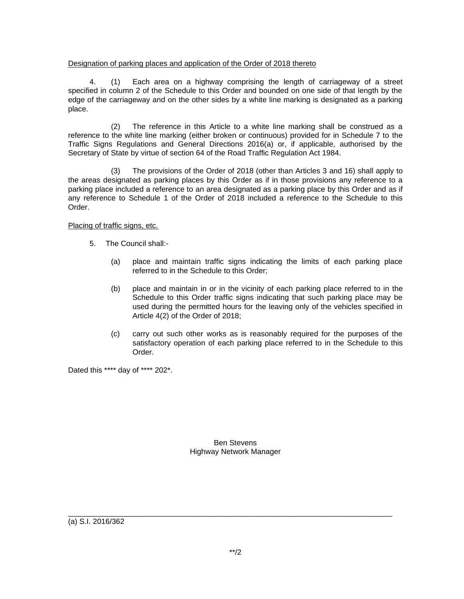## Designation of parking places and application of the Order of 2018 thereto

4. (1) Each area on a highway comprising the length of carriageway of a street specified in column 2 of the Schedule to this Order and bounded on one side of that length by the edge of the carriageway and on the other sides by a white line marking is designated as a parking place.

(2) The reference in this Article to a white line marking shall be construed as a reference to the white line marking (either broken or continuous) provided for in Schedule 7 to the Traffic Signs Regulations and General Directions 2016(a) or, if applicable, authorised by the Secretary of State by virtue of section 64 of the Road Traffic Regulation Act 1984.

(3) The provisions of the Order of 2018 (other than Articles 3 and 16) shall apply to the areas designated as parking places by this Order as if in those provisions any reference to a parking place included a reference to an area designated as a parking place by this Order and as if any reference to Schedule 1 of the Order of 2018 included a reference to the Schedule to this Order.

## Placing of traffic signs, etc.

- 5. The Council shall:-
	- (a) place and maintain traffic signs indicating the limits of each parking place referred to in the Schedule to this Order;
	- (b) place and maintain in or in the vicinity of each parking place referred to in the Schedule to this Order traffic signs indicating that such parking place may be used during the permitted hours for the leaving only of the vehicles specified in Article 4(2) of the Order of 2018;
	- (c) carry out such other works as is reasonably required for the purposes of the satisfactory operation of each parking place referred to in the Schedule to this Order.

Dated this \*\*\*\* day of \*\*\*\* 202\*.

Ben Stevens Highway Network Manager

(a) S.I. 2016/362

\_\_\_\_\_\_\_\_\_\_\_\_\_\_\_\_\_\_\_\_\_\_\_\_\_\_\_\_\_\_\_\_\_\_\_\_\_\_\_\_\_\_\_\_\_\_\_\_\_\_\_\_\_\_\_\_\_\_\_\_\_\_\_\_\_\_\_\_\_\_\_\_\_\_\_\_\_